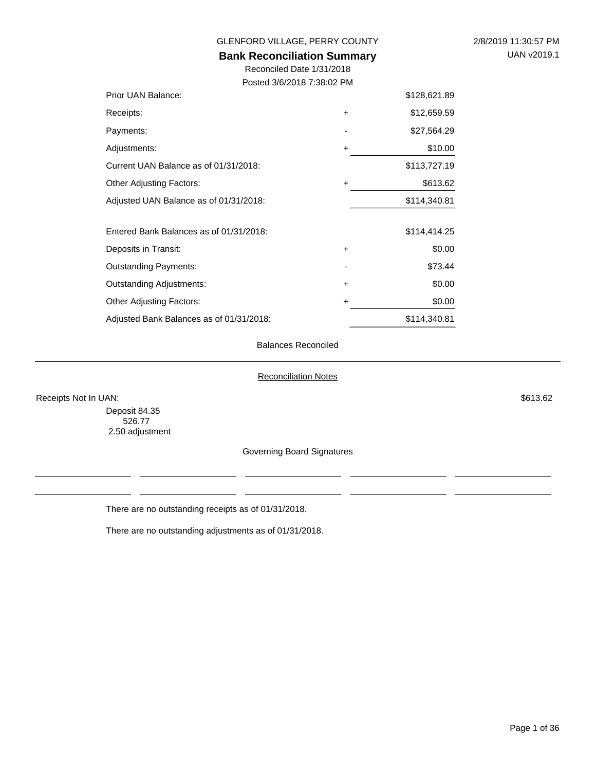#### **Bank Reconciliation Summary**

Reconciled Date 1/31/2018 Posted 3/6/2018 7:38:02 PM

| Prior UAN Balance:                       |           | \$128,621.89 |
|------------------------------------------|-----------|--------------|
| Receipts:                                | $\ddot{}$ | \$12,659.59  |
| Payments:                                |           | \$27,564.29  |
| Adjustments:                             | $\ddot{}$ | \$10.00      |
| Current UAN Balance as of 01/31/2018:    |           | \$113,727.19 |
| Other Adjusting Factors:                 | +         | \$613.62     |
| Adjusted UAN Balance as of 01/31/2018:   |           | \$114,340.81 |
|                                          |           |              |
| Entered Bank Balances as of 01/31/2018:  |           | \$114,414.25 |
| Deposits in Transit:                     | $\ddot{}$ | \$0.00       |
| Outstanding Payments:                    |           | \$73.44      |
| Outstanding Adjustments:                 | $\ddot{}$ | \$0.00       |
| Other Adjusting Factors:                 | +         | \$0.00       |
| Adjusted Bank Balances as of 01/31/2018: |           | \$114,340.81 |

#### Balances Reconciled

#### Reconciliation Notes

Receipts Not In UAN: \$613.62

Deposit 84.35 526.77 2.50 adjustment

Governing Board Signatures

There are no outstanding receipts as of 01/31/2018.

There are no outstanding adjustments as of 01/31/2018.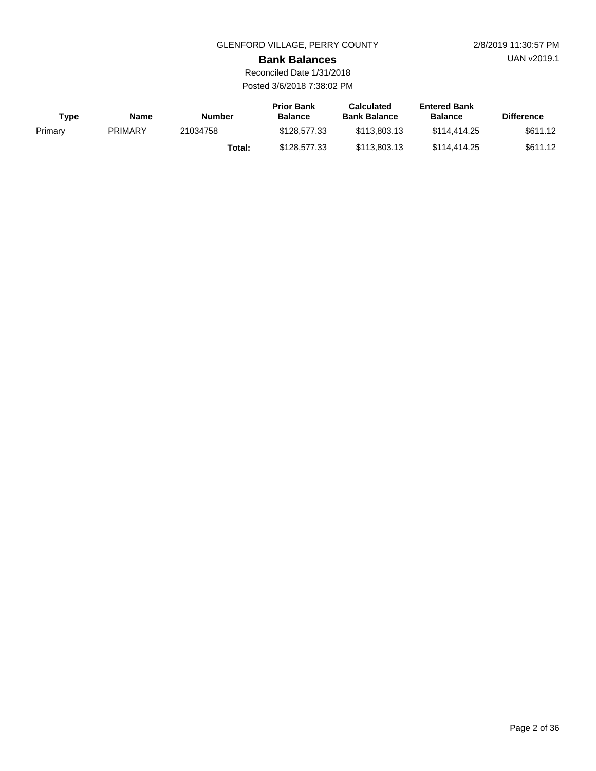UAN v2019.1

**Bank Balances**

Reconciled Date 1/31/2018 Posted 3/6/2018 7:38:02 PM

| <b>Type</b> | Name           | Number   | <b>Prior Bank</b><br><b>Balance</b> | <b>Calculated</b><br><b>Bank Balance</b> | <b>Entered Bank</b><br><b>Balance</b> | <b>Difference</b> |
|-------------|----------------|----------|-------------------------------------|------------------------------------------|---------------------------------------|-------------------|
| Primary     | <b>PRIMARY</b> | 21034758 | \$128,577,33                        | \$113,803.13                             | \$114,414,25                          | \$611.12          |
|             |                | Total:   | \$128,577,33                        | \$113,803.13                             | \$114,414,25                          | \$611.12          |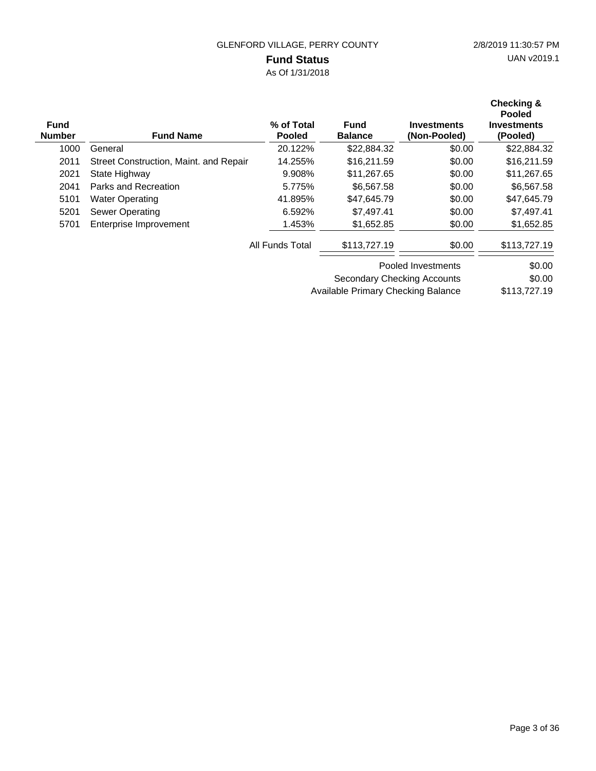### **Fund Status**

As Of 1/31/2018

| <b>Fund</b><br><b>Number</b> | <b>Fund Name</b>                       | % of Total<br><b>Pooled</b> | <b>Fund</b><br><b>Balance</b> | <b>Investments</b><br>(Non-Pooled) | Checking &<br><b>Pooled</b><br><b>Investments</b><br>(Pooled) |
|------------------------------|----------------------------------------|-----------------------------|-------------------------------|------------------------------------|---------------------------------------------------------------|
| 1000                         | General                                | 20.122%                     | \$22,884.32                   | \$0.00                             | \$22,884.32                                                   |
| 2011                         | Street Construction, Maint. and Repair | 14.255%                     | \$16,211.59                   | \$0.00                             | \$16,211.59                                                   |
| 2021                         | State Highway                          | 9.908%                      | \$11,267.65                   | \$0.00                             | \$11,267.65                                                   |
| 2041                         | Parks and Recreation                   | 5.775%                      | \$6,567.58                    | \$0.00                             | \$6,567.58                                                    |
| 5101                         | <b>Water Operating</b>                 | 41.895%                     | \$47,645.79                   | \$0.00                             | \$47,645.79                                                   |
| 5201                         | <b>Sewer Operating</b>                 | 6.592%                      | \$7.497.41                    | \$0.00                             | \$7,497.41                                                    |
| 5701                         | Enterprise Improvement                 | 1.453%                      | \$1,652.85                    | \$0.00                             | \$1,652.85                                                    |
|                              |                                        | All Funds Total             | \$113,727.19                  | \$0.00                             | \$113,727.19                                                  |
|                              |                                        |                             |                               | Pooled Investments                 | \$0.00                                                        |
|                              |                                        |                             | Secondary Checking Accounts   |                                    | \$0.00                                                        |

\$113,727.19 Available Primary Checking Balance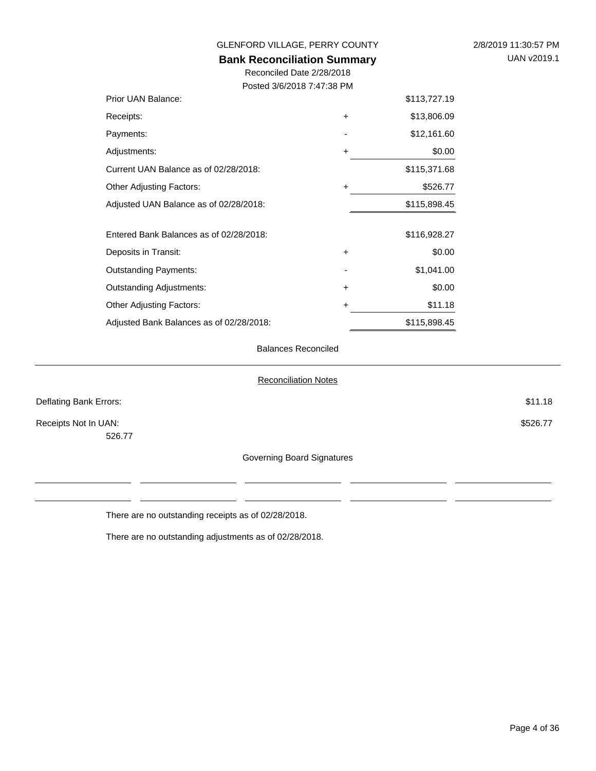| GLENFORD VILLAGE, PERRY COUNTY<br><b>Bank Reconciliation Summary</b> | 2/8/2019 11:30:57 PM<br>UAN v2019.1 |              |  |
|----------------------------------------------------------------------|-------------------------------------|--------------|--|
| Reconciled Date 2/28/2018<br>Posted 3/6/2018 7:47:38 PM              |                                     |              |  |
| Prior UAN Balance:                                                   |                                     | \$113,727.19 |  |
| Receipts:                                                            | $\ddot{}$                           | \$13,806.09  |  |
| Payments:                                                            |                                     | \$12,161.60  |  |
| Adjustments:                                                         | +                                   | \$0.00       |  |
| Current UAN Balance as of 02/28/2018:                                |                                     | \$115,371.68 |  |
| Other Adjusting Factors:                                             | $\ddot{}$                           | \$526.77     |  |
| Adjusted UAN Balance as of 02/28/2018:                               |                                     | \$115,898.45 |  |
| Entered Bank Balances as of 02/28/2018:                              |                                     | \$116,928.27 |  |
| Deposits in Transit:                                                 | $\ddot{}$                           | \$0.00       |  |
| <b>Outstanding Payments:</b>                                         |                                     | \$1,041.00   |  |
| <b>Outstanding Adjustments:</b>                                      | $\ddot{}$                           | \$0.00       |  |
| <b>Other Adjusting Factors:</b>                                      | $\ddot{}$                           | \$11.18      |  |
| Adjusted Bank Balances as of 02/28/2018:                             |                                     | \$115,898.45 |  |
|                                                                      |                                     |              |  |

#### Balances Reconciled

#### Reconciliation Notes

| Deflating Bank Errors:     | \$11.18  |
|----------------------------|----------|
| Receipts Not In UAN:       | \$526.77 |
| 526.77                     |          |
| Governing Board Signatures |          |

There are no outstanding receipts as of 02/28/2018.

There are no outstanding adjustments as of 02/28/2018.

 $\overline{\phantom{a}}$ 

 $\overline{a}$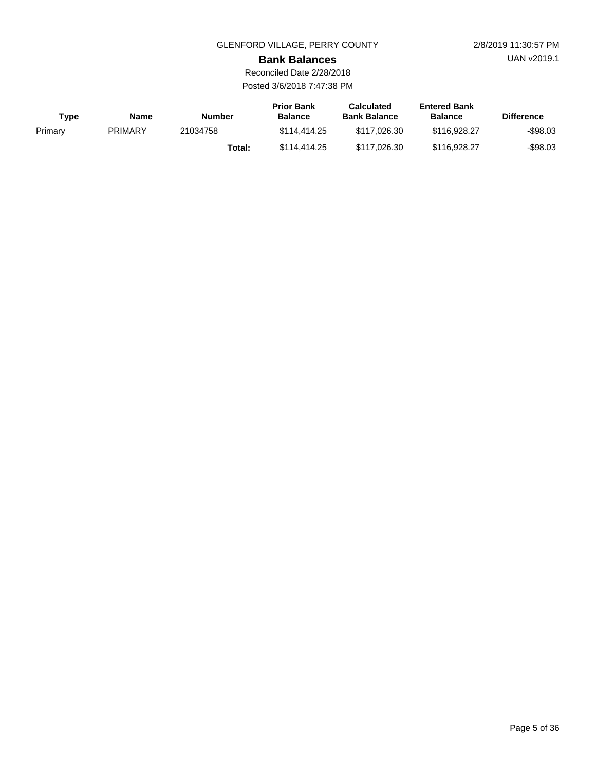UAN v2019.1

**Bank Balances**

Reconciled Date 2/28/2018 Posted 3/6/2018 7:47:38 PM

| <b>Type</b> | Name           | Number   | <b>Prior Bank</b><br><b>Balance</b> | <b>Calculated</b><br><b>Bank Balance</b> | <b>Entered Bank</b><br><b>Balance</b> | <b>Difference</b> |
|-------------|----------------|----------|-------------------------------------|------------------------------------------|---------------------------------------|-------------------|
| Primary     | <b>PRIMARY</b> | 21034758 | \$114,414.25                        | \$117,026,30                             | \$116,928,27                          | $-$ \$98.03       |
|             |                | Total:   | \$114,414.25                        | \$117,026,30                             | \$116,928,27                          | $-$98.03$         |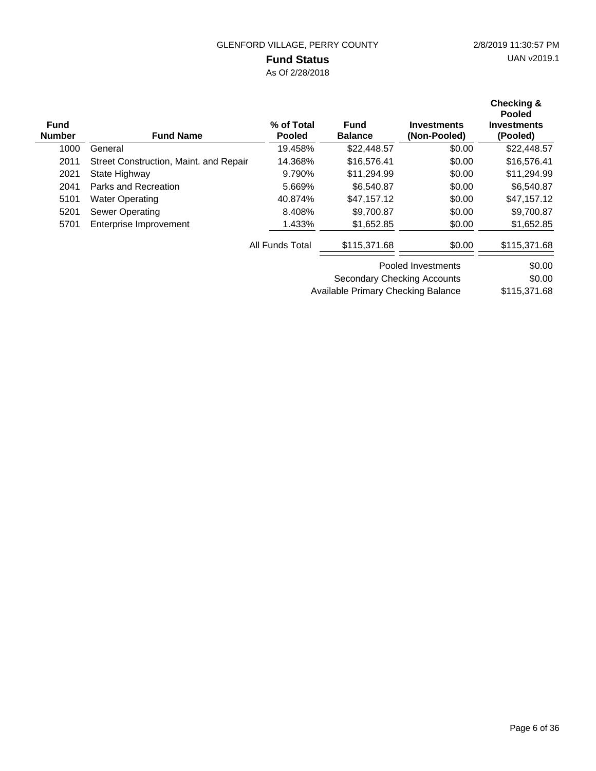### **Fund Status**

As Of 2/28/2018

| <b>Fund</b><br><b>Number</b> | <b>Fund Name</b>                       | % of Total<br><b>Pooled</b> | <b>Fund</b><br><b>Balance</b>      | <b>Investments</b><br>(Non-Pooled) | Checking &<br><b>Pooled</b><br><b>Investments</b><br>(Pooled) |
|------------------------------|----------------------------------------|-----------------------------|------------------------------------|------------------------------------|---------------------------------------------------------------|
| 1000                         | General                                | 19.458%                     | \$22,448.57                        | \$0.00                             | \$22,448.57                                                   |
| 2011                         | Street Construction, Maint. and Repair | 14.368%                     | \$16,576.41                        | \$0.00                             | \$16,576.41                                                   |
| 2021                         | State Highway                          | 9.790%                      | \$11,294.99                        | \$0.00                             | \$11,294.99                                                   |
| 2041                         | Parks and Recreation                   | 5.669%                      | \$6,540.87                         | \$0.00                             | \$6,540.87                                                    |
| 5101                         | <b>Water Operating</b>                 | 40.874%                     | \$47.157.12                        | \$0.00                             | \$47,157.12                                                   |
| 5201                         | Sewer Operating                        | 8.408%                      | \$9,700.87                         | \$0.00                             | \$9,700.87                                                    |
| 5701                         | Enterprise Improvement                 | 1.433%                      | \$1,652.85                         | \$0.00                             | \$1,652.85                                                    |
|                              |                                        | All Funds Total             | \$115,371.68                       | \$0.00                             | \$115,371.68                                                  |
|                              |                                        |                             |                                    | Pooled Investments                 | \$0.00                                                        |
|                              |                                        |                             | <b>Secondary Checking Accounts</b> |                                    | \$0.00                                                        |

\$115,371.68 Available Primary Checking Balance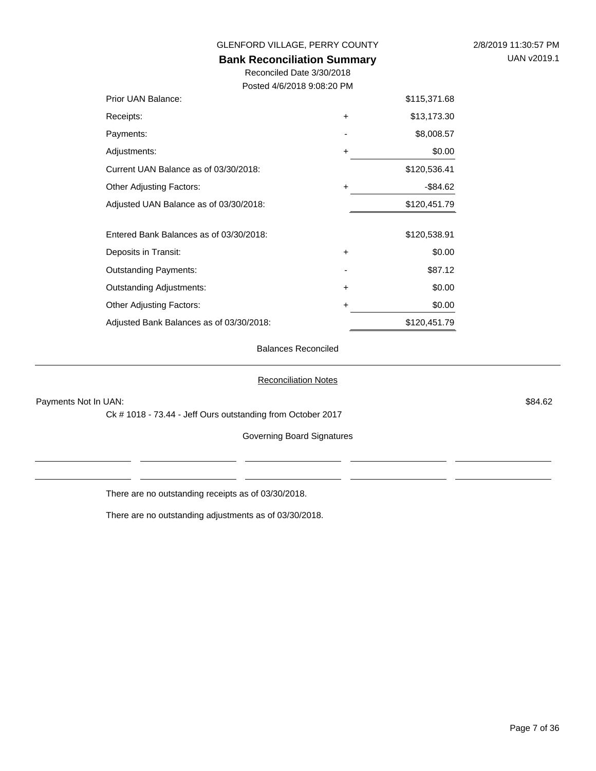| GLENFORD VILLAGE, PERRY COUNTY     | 2/8/2019 11:30:57 PM |
|------------------------------------|----------------------|
| <b>Bank Reconciliation Summary</b> | UAN v2019.1          |
|                                    |                      |

Reconciled Date 3/30/2018 Posted 4/6/2018 9:08:20 PM

| Prior UAN Balance:                       |           | \$115,371.68 |
|------------------------------------------|-----------|--------------|
| Receipts:                                | $\ddot{}$ | \$13,173.30  |
| Payments:                                |           | \$8,008.57   |
| Adjustments:                             | $\ddot{}$ | \$0.00       |
| Current UAN Balance as of 03/30/2018:    |           | \$120,536.41 |
| Other Adjusting Factors:                 | $\ddot{}$ | $-$ \$84.62  |
| Adjusted UAN Balance as of 03/30/2018:   |           | \$120,451.79 |
| Entered Bank Balances as of 03/30/2018:  |           | \$120,538.91 |
| Deposits in Transit:                     | $\ddot{}$ | \$0.00       |
| Outstanding Payments:                    |           | \$87.12      |
| Outstanding Adjustments:                 | $\ddot{}$ | \$0.00       |
| Other Adjusting Factors:                 | +         | \$0.00       |
| Adjusted Bank Balances as of 03/30/2018: |           | \$120,451.79 |

Balances Reconciled

Reconciliation Notes

Payments Not In UAN: \$84.62

Ck # 1018 - 73.44 - Jeff Ours outstanding from October 2017

Governing Board Signatures

There are no outstanding receipts as of 03/30/2018.

There are no outstanding adjustments as of 03/30/2018.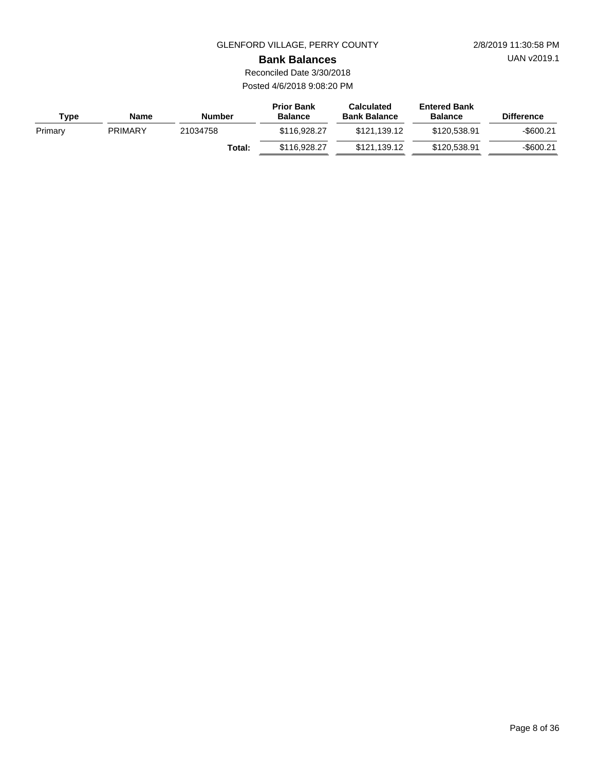UAN v2019.1

**Bank Balances**

Reconciled Date 3/30/2018 Posted 4/6/2018 9:08:20 PM

| Type    | Name           | <b>Number</b> | <b>Prior Bank</b><br><b>Balance</b> | <b>Calculated</b><br><b>Bank Balance</b> | <b>Entered Bank</b><br><b>Balance</b> | <b>Difference</b> |
|---------|----------------|---------------|-------------------------------------|------------------------------------------|---------------------------------------|-------------------|
| Primary | <b>PRIMARY</b> | 21034758      | \$116,928,27                        | \$121.139.12                             | \$120.538.91                          | $-$ \$600.21      |
|         |                | Total:        | \$116,928,27                        | \$121.139.12                             | \$120.538.91                          | -\$600.21         |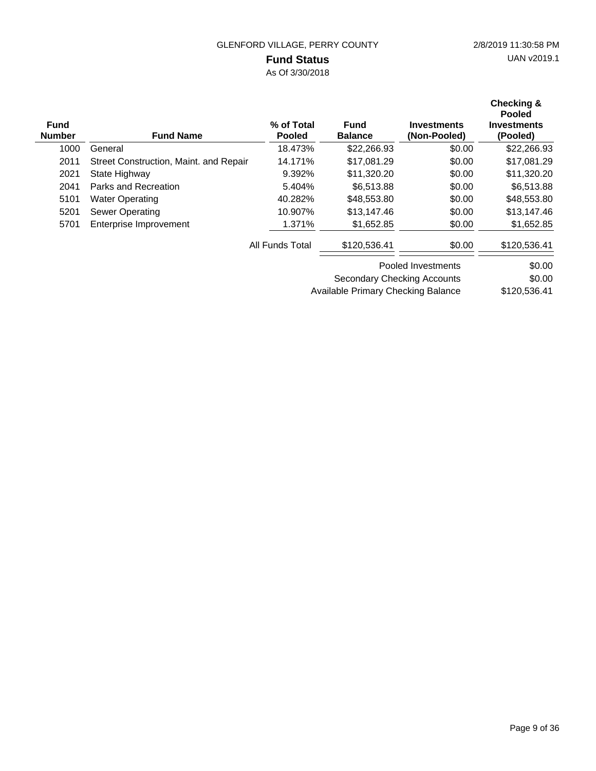# **Fund Status**

As Of 3/30/2018

| <b>Fund</b><br><b>Number</b> | <b>Fund Name</b>                       | % of Total<br><b>Pooled</b> | <b>Fund</b><br><b>Balance</b> | <b>Investments</b><br>(Non-Pooled) | Checking &<br><b>Pooled</b><br><b>Investments</b><br>(Pooled) |
|------------------------------|----------------------------------------|-----------------------------|-------------------------------|------------------------------------|---------------------------------------------------------------|
| 1000                         | General                                | 18.473%                     | \$22,266.93                   | \$0.00                             | \$22,266.93                                                   |
| 2011                         | Street Construction, Maint. and Repair | 14.171%                     | \$17,081.29                   | \$0.00                             | \$17,081.29                                                   |
| 2021                         | State Highway                          | 9.392%                      | \$11,320.20                   | \$0.00                             | \$11,320.20                                                   |
| 2041                         | Parks and Recreation                   | 5.404%                      | \$6,513.88                    | \$0.00                             | \$6,513.88                                                    |
| 5101                         | <b>Water Operating</b>                 | 40.282%                     | \$48,553.80                   | \$0.00                             | \$48,553.80                                                   |
| 5201                         | <b>Sewer Operating</b>                 | 10.907%                     | \$13,147.46                   | \$0.00                             | \$13,147.46                                                   |
| 5701                         | Enterprise Improvement                 | 1.371%                      | \$1,652.85                    | \$0.00                             | \$1,652.85                                                    |
|                              |                                        | All Funds Total             | \$120,536.41                  | \$0.00                             | \$120,536.41                                                  |
|                              |                                        |                             |                               | Pooled Investments                 | \$0.00                                                        |
|                              |                                        |                             | Secondary Checking Accounts   |                                    | \$0.00                                                        |

\$120,536.41 Available Primary Checking Balance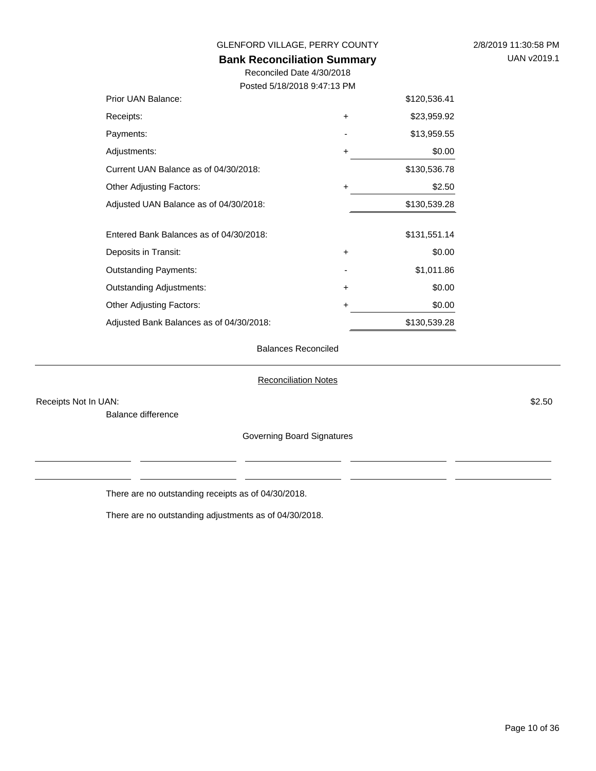| 2/8/2019 11:30:58 PM |
|----------------------|
| UAN v2019.1          |

### **Bank Reconciliation Summary**

Reconciled Date 4/30/2018 Posted 5/18/2018 9:47:13 PM

| Prior UAN Balance:                       |           | \$120,536.41 |
|------------------------------------------|-----------|--------------|
| Receipts:                                | $\ddot{}$ | \$23,959.92  |
| Payments:                                |           | \$13,959.55  |
| Adjustments:                             | +         | \$0.00       |
| Current UAN Balance as of 04/30/2018:    |           | \$130,536.78 |
| <b>Other Adjusting Factors:</b>          | +         | \$2.50       |
| Adjusted UAN Balance as of 04/30/2018:   |           | \$130,539.28 |
| Entered Bank Balances as of 04/30/2018:  |           | \$131,551.14 |
| Deposits in Transit:                     | +         | \$0.00       |
| <b>Outstanding Payments:</b>             |           | \$1,011.86   |
| <b>Outstanding Adjustments:</b>          | +         | \$0.00       |
| <b>Other Adjusting Factors:</b>          | +         | \$0.00       |
| Adjusted Bank Balances as of 04/30/2018: |           | \$130,539.28 |

#### Balances Reconciled

#### Reconciliation Notes

Receipts Not In UAN: \$2.50

Balance difference

Governing Board Signatures

There are no outstanding receipts as of 04/30/2018.

There are no outstanding adjustments as of 04/30/2018.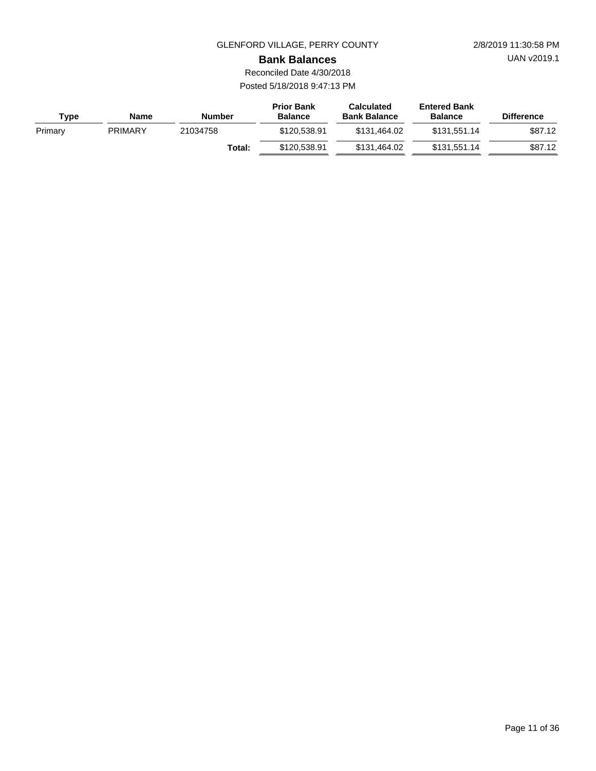UAN v2019.1

**Bank Balances**

Reconciled Date 4/30/2018 Posted 5/18/2018 9:47:13 PM

| Type    | <b>Name</b>    | Number   | <b>Prior Bank</b><br><b>Balance</b> | <b>Calculated</b><br><b>Bank Balance</b> | <b>Entered Bank</b><br><b>Balance</b> | <b>Difference</b> |
|---------|----------------|----------|-------------------------------------|------------------------------------------|---------------------------------------|-------------------|
| Primary | <b>PRIMARY</b> | 21034758 | \$120.538.91                        | \$131,464.02                             | \$131.551.14                          | \$87.12           |
|         |                | Total:   | \$120.538.91                        | \$131,464.02                             | \$131.551.14                          | \$87.12           |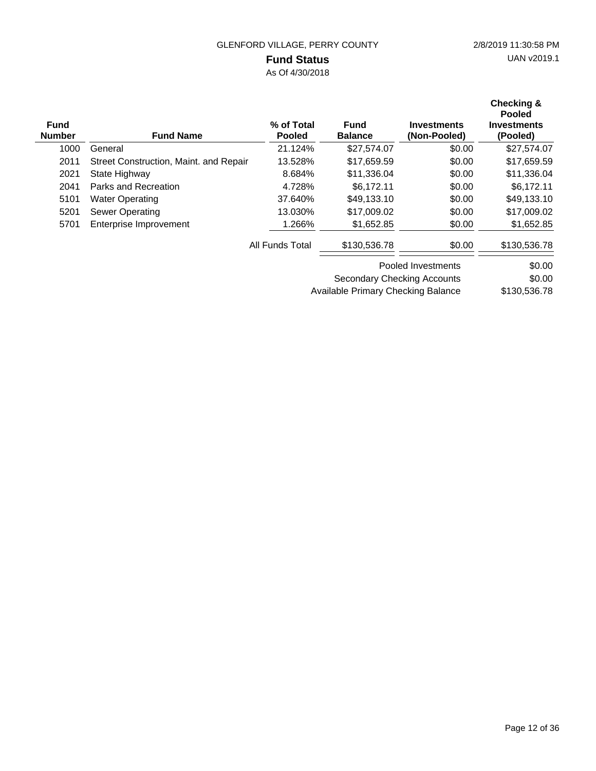### **Fund Status**

As Of 4/30/2018

| <b>Fund</b><br><b>Number</b> | <b>Fund Name</b>                       | % of Total<br><b>Pooled</b> | <b>Fund</b><br><b>Balance</b>      | <b>Investments</b><br>(Non-Pooled) | Checking &<br><b>Pooled</b><br>Investments<br>(Pooled) |
|------------------------------|----------------------------------------|-----------------------------|------------------------------------|------------------------------------|--------------------------------------------------------|
| 1000                         | General                                | 21.124%                     | \$27,574.07                        | \$0.00                             | \$27,574.07                                            |
| 2011                         | Street Construction, Maint. and Repair | 13.528%                     | \$17,659.59                        | \$0.00                             | \$17,659.59                                            |
| 2021                         | State Highway                          | 8.684%                      | \$11,336.04                        | \$0.00                             | \$11,336.04                                            |
| 2041                         | Parks and Recreation                   | 4.728%                      | \$6.172.11                         | \$0.00                             | \$6,172.11                                             |
| 5101                         | <b>Water Operating</b>                 | 37.640%                     | \$49,133.10                        | \$0.00                             | \$49,133.10                                            |
| 5201                         | Sewer Operating                        | 13.030%                     | \$17,009.02                        | \$0.00                             | \$17,009.02                                            |
| 5701                         | Enterprise Improvement                 | 1.266%                      | \$1,652.85                         | \$0.00                             | \$1,652.85                                             |
|                              |                                        | All Funds Total             | \$130,536.78                       | \$0.00                             | \$130,536.78                                           |
|                              |                                        |                             |                                    | Pooled Investments                 | \$0.00                                                 |
|                              |                                        |                             | <b>Secondary Checking Accounts</b> |                                    | \$0.00                                                 |

\$130,536.78 Available Primary Checking Balance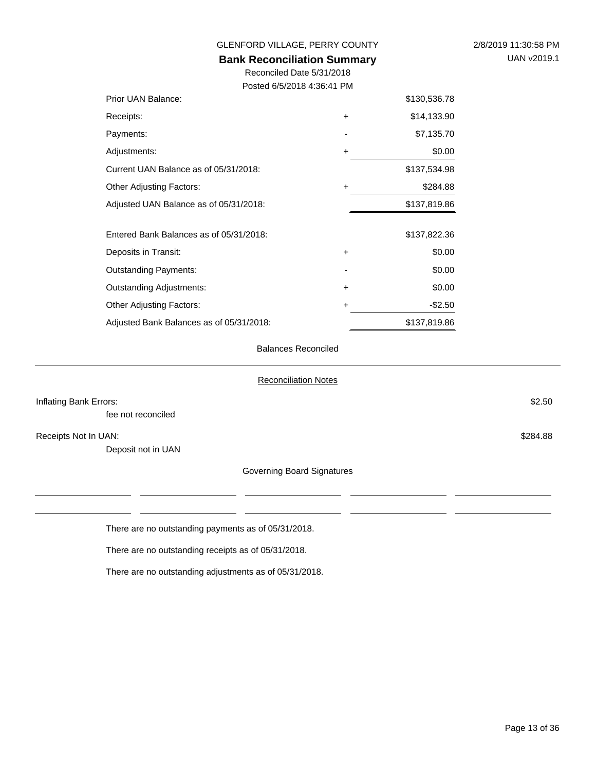| GLENFORD VILLAGE, PERRY COUNTY                                  | 2/8/2019 11:30:58 PM |              |  |
|-----------------------------------------------------------------|----------------------|--------------|--|
| <b>Bank Reconciliation Summary</b><br>Reconciled Date 5/31/2018 | UAN v2019.1          |              |  |
| Posted 6/5/2018 4:36:41 PM                                      |                      |              |  |
| Prior UAN Balance:                                              |                      | \$130,536.78 |  |
| Receipts:                                                       | $\ddot{}$            | \$14,133.90  |  |
| Payments:                                                       |                      | \$7,135.70   |  |
| Adjustments:                                                    | +                    | \$0.00       |  |
| Current UAN Balance as of 05/31/2018:                           |                      | \$137,534.98 |  |
| <b>Other Adjusting Factors:</b>                                 | +                    | \$284.88     |  |
| Adjusted UAN Balance as of 05/31/2018:                          |                      | \$137,819.86 |  |
| Entered Bank Balances as of 05/31/2018:                         |                      | \$137,822.36 |  |
| Deposits in Transit:                                            | $\ddot{}$            | \$0.00       |  |
| <b>Outstanding Payments:</b>                                    |                      | \$0.00       |  |
| <b>Outstanding Adjustments:</b>                                 | +                    | \$0.00       |  |
| <b>Other Adjusting Factors:</b>                                 | +                    | $-$ \$2.50   |  |
| Adjusted Bank Balances as of 05/31/2018:                        |                      | \$137,819.86 |  |

#### Balances Reconciled

#### Reconciliation Notes

| Inflating Bank Errors: |                                                     | \$2.50   |
|------------------------|-----------------------------------------------------|----------|
| fee not reconciled     |                                                     |          |
| Receipts Not In UAN:   |                                                     | \$284.88 |
| Deposit not in UAN     |                                                     |          |
|                        | Governing Board Signatures                          |          |
|                        |                                                     |          |
|                        |                                                     |          |
|                        | There are no outstanding payments as of 05/31/2018. |          |

There are no outstanding receipts as of 05/31/2018.

There are no outstanding adjustments as of 05/31/2018.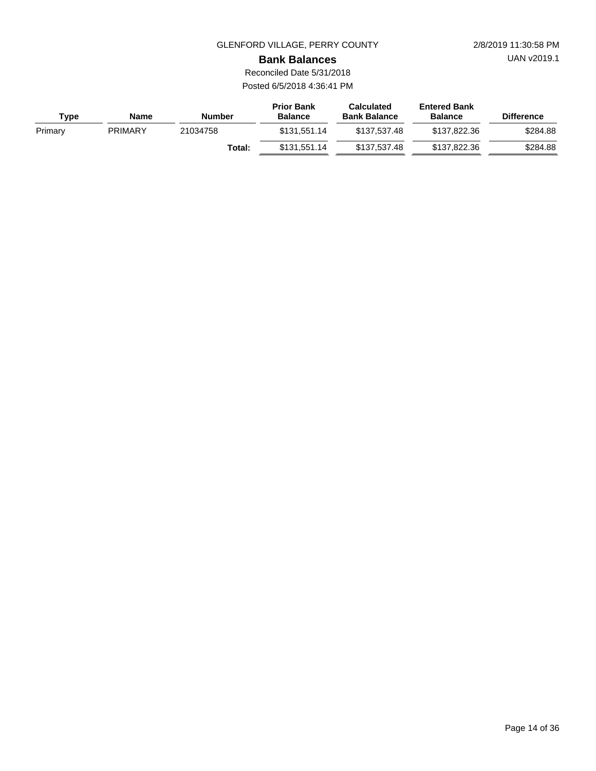UAN v2019.1

**Bank Balances**

Reconciled Date 5/31/2018 Posted 6/5/2018 4:36:41 PM

| <b>Type</b> | Name           | <b>Number</b> | <b>Prior Bank</b><br><b>Balance</b> | <b>Calculated</b><br><b>Bank Balance</b> | <b>Entered Bank</b><br><b>Balance</b> | <b>Difference</b> |
|-------------|----------------|---------------|-------------------------------------|------------------------------------------|---------------------------------------|-------------------|
| Primary     | <b>PRIMARY</b> | 21034758      | \$131.551.14                        | \$137.537.48                             | \$137,822,36                          | \$284.88          |
|             |                | Total:        | \$131.551.14                        | \$137.537.48                             | \$137,822,36                          | \$284.88          |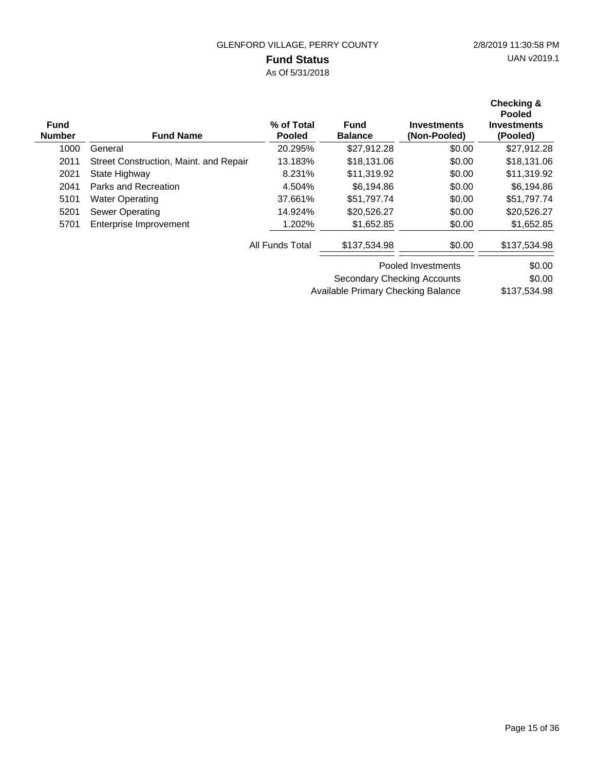# **Fund Status**

As Of 5/31/2018

| <b>Fund</b><br><b>Number</b> | <b>Fund Name</b>                       | % of Total<br><b>Pooled</b> | <b>Fund</b><br><b>Balance</b>      | <b>Investments</b><br>(Non-Pooled) | <b>Checking &amp;</b><br><b>Pooled</b><br><b>Investments</b><br>(Pooled) |
|------------------------------|----------------------------------------|-----------------------------|------------------------------------|------------------------------------|--------------------------------------------------------------------------|
| 1000                         | General                                | 20.295%                     | \$27,912.28                        | \$0.00                             | \$27,912.28                                                              |
| 2011                         | Street Construction, Maint. and Repair | 13.183%                     | \$18,131,06                        | \$0.00                             | \$18,131.06                                                              |
| 2021                         | State Highway                          | 8.231%                      | \$11,319.92                        | \$0.00                             | \$11,319.92                                                              |
| 2041                         | Parks and Recreation                   | 4.504%                      | \$6,194.86                         | \$0.00                             | \$6,194.86                                                               |
| 5101                         | <b>Water Operating</b>                 | 37.661%                     | \$51,797.74                        | \$0.00                             | \$51,797.74                                                              |
| 5201                         | <b>Sewer Operating</b>                 | 14.924%                     | \$20,526.27                        | \$0.00                             | \$20,526.27                                                              |
| 5701                         | Enterprise Improvement                 | 1.202%                      | \$1,652.85                         | \$0.00                             | \$1,652.85                                                               |
|                              |                                        | All Funds Total             | \$137,534.98                       | \$0.00                             | \$137,534.98                                                             |
|                              |                                        |                             |                                    | Pooled Investments                 | \$0.00                                                                   |
|                              |                                        |                             | <b>Secondary Checking Accounts</b> |                                    | \$0.00                                                                   |

\$137,534.98 Available Primary Checking Balance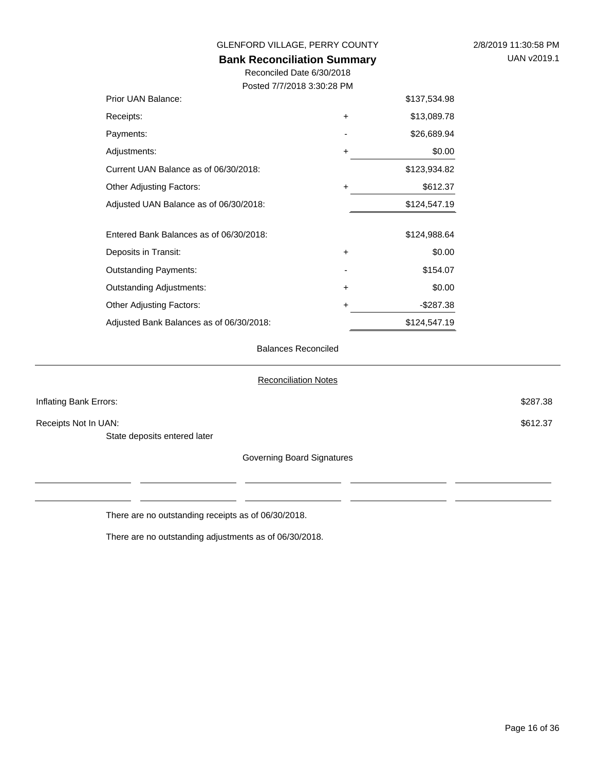| GLENFORD VILLAGE, PERRY COUNTY          | 2/8/2019 11:30:58 PM |              |  |
|-----------------------------------------|----------------------|--------------|--|
| <b>Bank Reconciliation Summary</b>      | UAN v2019.1          |              |  |
| Reconciled Date 6/30/2018               |                      |              |  |
| Posted 7/7/2018 3:30:28 PM              |                      |              |  |
| Prior UAN Balance:                      |                      | \$137,534.98 |  |
| Receipts:                               | +                    | \$13,089.78  |  |
| Payments:                               |                      | \$26,689.94  |  |
| Adjustments:                            | +                    | \$0.00       |  |
| Current UAN Balance as of 06/30/2018:   |                      | \$123,934.82 |  |
| Other Adjusting Factors:                | +                    | \$612.37     |  |
| Adjusted UAN Balance as of 06/30/2018:  |                      | \$124,547.19 |  |
| Entered Bank Balances as of 06/30/2018: |                      | \$124,988.64 |  |
| Deposits in Transit:                    | +                    | \$0.00       |  |
| Outstanding Payments:                   |                      | \$154.07     |  |
| Outstanding Adjustments:                | +                    | \$0.00       |  |
| Other Adjusting Factors:                | +                    | $-$287.38$   |  |
|                                         |                      |              |  |

#### Balances Reconciled

\$124,547.19

#### Reconciliation Notes

| Inflating Bank Errors:       |                            | \$287.38 |
|------------------------------|----------------------------|----------|
| Receipts Not In UAN:         |                            | \$612.37 |
| State deposits entered later |                            |          |
|                              | Governing Board Signatures |          |

There are no outstanding receipts as of 06/30/2018.

Adjusted Bank Balances as of 06/30/2018:

There are no outstanding adjustments as of 06/30/2018.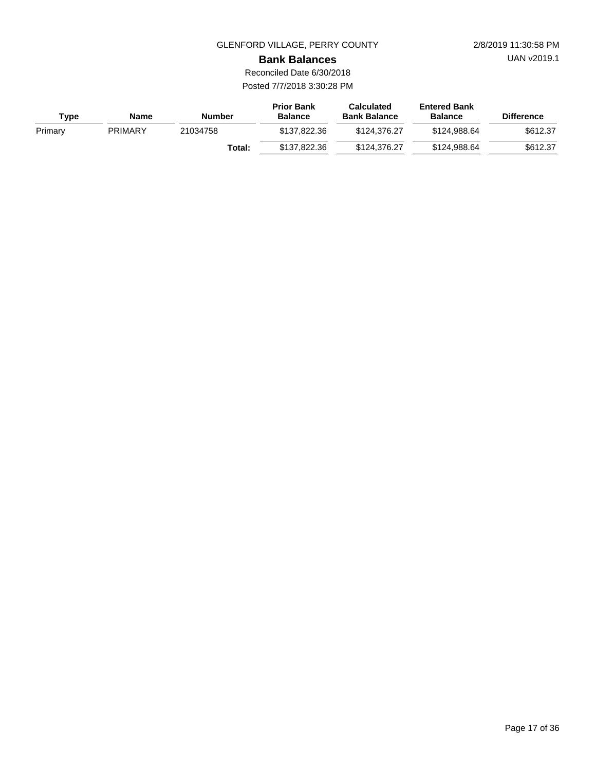UAN v2019.1

#### **Bank Balances**

Reconciled Date 6/30/2018 Posted 7/7/2018 3:30:28 PM

| <b>Type</b> | <b>Name</b>    | <b>Number</b> | <b>Prior Bank</b><br><b>Balance</b> | <b>Calculated</b><br><b>Bank Balance</b> | <b>Entered Bank</b><br><b>Balance</b> | <b>Difference</b> |
|-------------|----------------|---------------|-------------------------------------|------------------------------------------|---------------------------------------|-------------------|
| Primary     | <b>PRIMARY</b> | 21034758      | \$137.822.36                        | \$124,376,27                             | \$124.988.64                          | \$612.37          |
|             |                | Total:        | \$137.822.36                        | \$124,376,27                             | \$124,988,64                          | \$612.37          |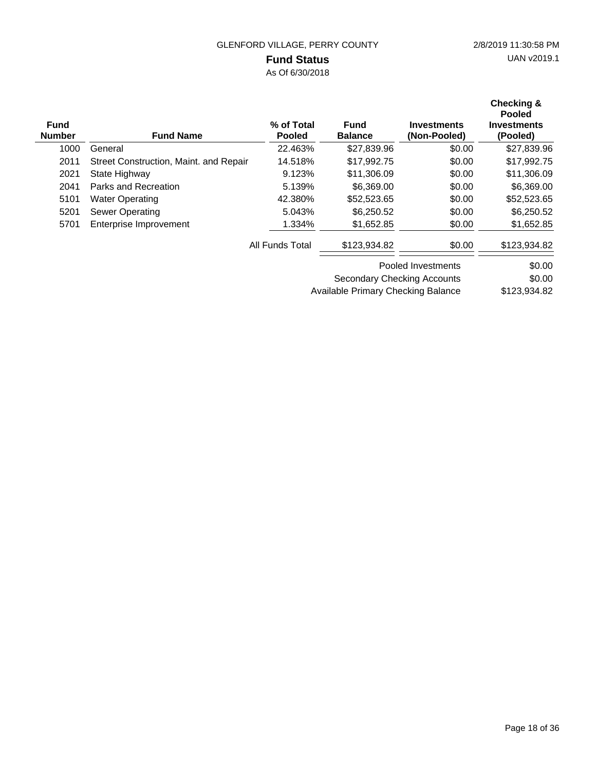# **Fund Status**

As Of 6/30/2018

| <b>Fund</b><br><b>Number</b> | <b>Fund Name</b>                       | % of Total<br><b>Pooled</b> | <b>Fund</b><br><b>Balance</b> | <b>Investments</b><br>(Non-Pooled) | Checking &<br><b>Pooled</b><br><b>Investments</b><br>(Pooled) |
|------------------------------|----------------------------------------|-----------------------------|-------------------------------|------------------------------------|---------------------------------------------------------------|
| 1000                         | General                                | 22.463%                     | \$27,839.96                   | \$0.00                             | \$27,839.96                                                   |
| 2011                         | Street Construction, Maint. and Repair | 14.518%                     | \$17,992.75                   | \$0.00                             | \$17,992.75                                                   |
| 2021                         | State Highway                          | 9.123%                      | \$11,306.09                   | \$0.00                             | \$11,306.09                                                   |
| 2041                         | Parks and Recreation                   | 5.139%                      | \$6,369.00                    | \$0.00                             | \$6,369.00                                                    |
| 5101                         | <b>Water Operating</b>                 | 42.380%                     | \$52,523.65                   | \$0.00                             | \$52,523.65                                                   |
| 5201                         | <b>Sewer Operating</b>                 | 5.043%                      | \$6,250.52                    | \$0.00                             | \$6,250.52                                                    |
| 5701                         | Enterprise Improvement                 | 1.334%                      | \$1,652.85                    | \$0.00                             | \$1,652.85                                                    |
|                              |                                        | All Funds Total             | \$123,934.82                  | \$0.00                             | \$123,934.82                                                  |
|                              |                                        |                             |                               | Pooled Investments                 | \$0.00                                                        |
|                              |                                        |                             | Secondary Checking Accounts   |                                    | \$0.00                                                        |

\$123,934.82 Available Primary Checking Balance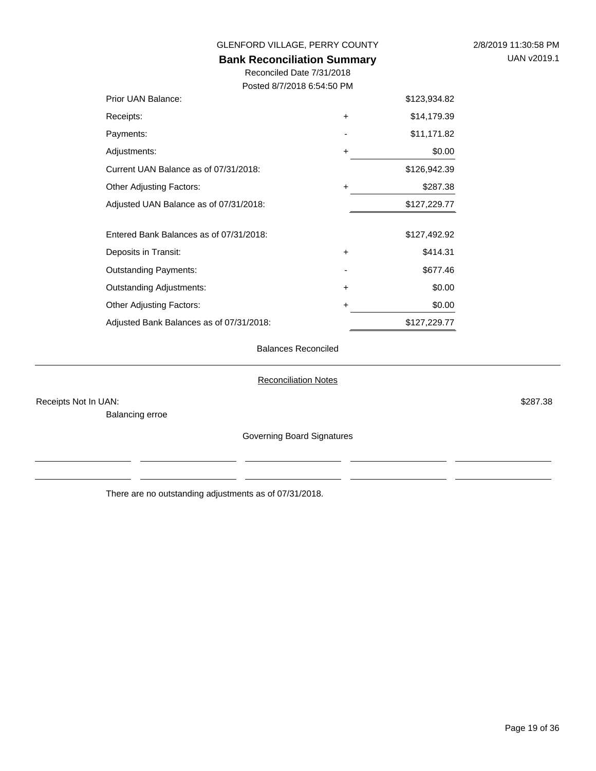| GLENFORD VILLAGE, PERRY COUNTY           | 2/8/2019 11:30:58 PM |              |  |
|------------------------------------------|----------------------|--------------|--|
| <b>Bank Reconciliation Summary</b>       | UAN v2019.1          |              |  |
| Reconciled Date 7/31/2018                |                      |              |  |
| Posted 8/7/2018 6:54:50 PM               |                      |              |  |
| Prior UAN Balance:                       |                      | \$123,934.82 |  |
| Receipts:                                | $\ddot{}$            | \$14,179.39  |  |
| Payments:                                |                      | \$11,171.82  |  |
| Adjustments:                             | $\ddot{}$            | \$0.00       |  |
| Current UAN Balance as of 07/31/2018:    |                      | \$126,942.39 |  |
| <b>Other Adjusting Factors:</b>          | ÷                    | \$287.38     |  |
| Adjusted UAN Balance as of 07/31/2018:   |                      | \$127,229.77 |  |
| Entered Bank Balances as of 07/31/2018:  |                      | \$127,492.92 |  |
| Deposits in Transit:                     | $\ddot{}$            | \$414.31     |  |
| <b>Outstanding Payments:</b>             |                      | \$677.46     |  |
| <b>Outstanding Adjustments:</b>          | $\ddot{}$            | \$0.00       |  |
| Other Adjusting Factors:                 | +                    | \$0.00       |  |
| Adjusted Bank Balances as of 07/31/2018: |                      | \$127,229.77 |  |
| <b>Balances Reconciled</b>               |                      |              |  |

### Reconciliation Notes

Receipts Not In UAN: \$287.38

Balancing erroe

Governing Board Signatures

There are no outstanding adjustments as of 07/31/2018.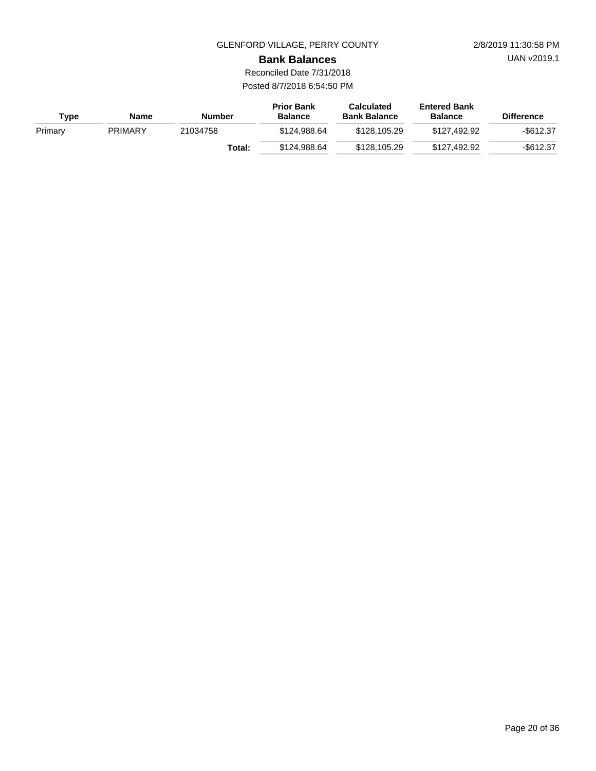UAN v2019.1

**Bank Balances**

Reconciled Date 7/31/2018 Posted 8/7/2018 6:54:50 PM

| Type    | <b>Name</b>    | <b>Number</b> | <b>Prior Bank</b><br><b>Balance</b> | <b>Calculated</b><br><b>Bank Balance</b> | <b>Entered Bank</b><br><b>Balance</b> | <b>Difference</b> |
|---------|----------------|---------------|-------------------------------------|------------------------------------------|---------------------------------------|-------------------|
| Primary | <b>PRIMARY</b> | 21034758      | \$124.988.64                        | \$128,105.29                             | \$127.492.92                          | $-$ \$612.37      |
|         |                | Total:        | \$124.988.64                        | \$128,105.29                             | \$127,492,92                          | -\$612.37         |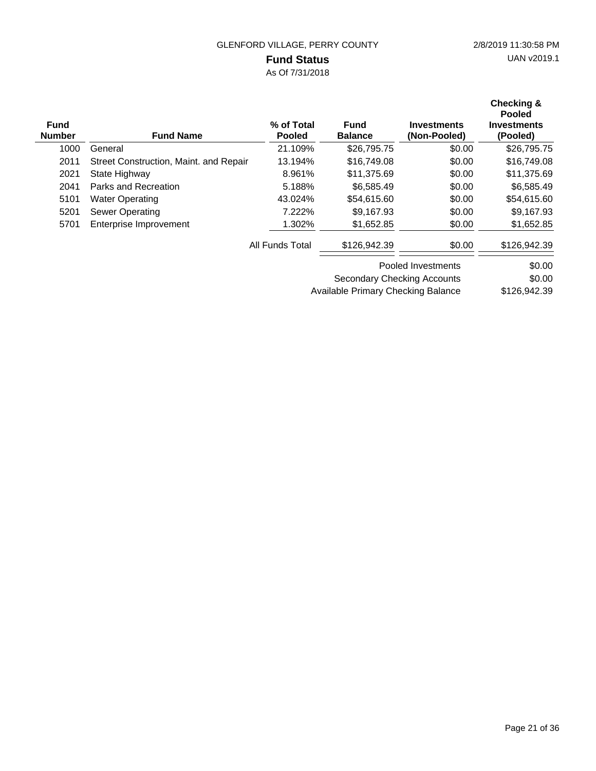# **Fund Status**

As Of 7/31/2018

| <b>Fund</b><br><b>Number</b> | <b>Fund Name</b>                       | % of Total<br><b>Pooled</b> | <b>Fund</b><br><b>Balance</b> | <b>Investments</b><br>(Non-Pooled) | Checking &<br><b>Pooled</b><br>Investments<br>(Pooled) |
|------------------------------|----------------------------------------|-----------------------------|-------------------------------|------------------------------------|--------------------------------------------------------|
| 1000                         | General                                | 21.109%                     | \$26,795.75                   | \$0.00                             | \$26,795.75                                            |
| 2011                         | Street Construction, Maint. and Repair | 13.194%                     | \$16,749.08                   | \$0.00                             | \$16,749.08                                            |
| 2021                         | State Highway                          | 8.961%                      | \$11,375.69                   | \$0.00                             | \$11,375.69                                            |
| 2041                         | Parks and Recreation                   | 5.188%                      | \$6,585.49                    | \$0.00                             | \$6,585.49                                             |
| 5101                         | <b>Water Operating</b>                 | 43.024%                     | \$54,615.60                   | \$0.00                             | \$54,615.60                                            |
| 5201                         | Sewer Operating                        | 7.222%                      | \$9.167.93                    | \$0.00                             | \$9,167.93                                             |
| 5701                         | Enterprise Improvement                 | 1.302%                      | \$1,652.85                    | \$0.00                             | \$1,652.85                                             |
|                              |                                        | All Funds Total             | \$126,942.39                  | \$0.00                             | \$126,942.39                                           |
|                              |                                        |                             | Pooled Investments            |                                    | \$0.00                                                 |
|                              |                                        |                             | Secondary Checking Accounts   |                                    | \$0.00                                                 |

\$126,942.39 Available Primary Checking Balance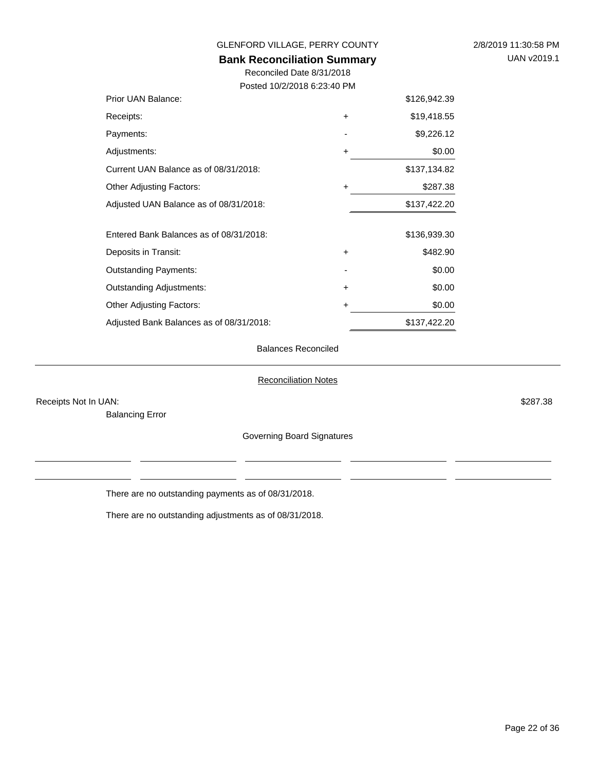| GLENFORD VILLAGE, PERRY COUNTY           | 2/8/2019 11:30:58 PM |              |  |
|------------------------------------------|----------------------|--------------|--|
| <b>Bank Reconciliation Summary</b>       | UAN v2019.1          |              |  |
| Reconciled Date 8/31/2018                |                      |              |  |
| Posted 10/2/2018 6:23:40 PM              |                      |              |  |
| Prior UAN Balance:                       |                      | \$126,942.39 |  |
| Receipts:                                | $\pm$                | \$19,418.55  |  |
| Payments:                                |                      | \$9,226.12   |  |
| Adjustments:                             | $\pm$                | \$0.00       |  |
| Current UAN Balance as of 08/31/2018:    |                      | \$137,134.82 |  |
| <b>Other Adjusting Factors:</b>          | $+$                  | \$287.38     |  |
| Adjusted UAN Balance as of 08/31/2018:   |                      | \$137,422.20 |  |
|                                          |                      |              |  |
| Entered Bank Balances as of 08/31/2018:  |                      | \$136,939.30 |  |
| Deposits in Transit:                     | $+$                  | \$482.90     |  |
| <b>Outstanding Payments:</b>             |                      | \$0.00       |  |
| <b>Outstanding Adjustments:</b>          | $+$                  | \$0.00       |  |
| <b>Other Adjusting Factors:</b>          | ٠                    | \$0.00       |  |
| Adjusted Bank Balances as of 08/31/2018: |                      | \$137,422.20 |  |

#### Balances Reconciled

#### Reconciliation Notes

Receipts Not In UAN: \$287.38

Balancing Error

Governing Board Signatures

There are no outstanding payments as of 08/31/2018.

There are no outstanding adjustments as of 08/31/2018.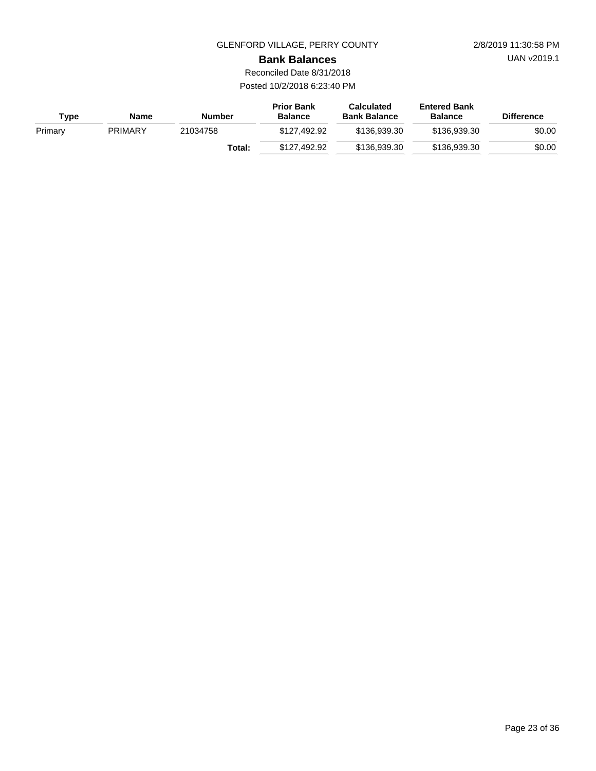UAN v2019.1

**Bank Balances**

Reconciled Date 8/31/2018 Posted 10/2/2018 6:23:40 PM

| Type    | <b>Name</b>    | <b>Number</b> | <b>Prior Bank</b><br><b>Balance</b> | <b>Calculated</b><br><b>Bank Balance</b> | <b>Entered Bank</b><br><b>Balance</b> | <b>Difference</b> |
|---------|----------------|---------------|-------------------------------------|------------------------------------------|---------------------------------------|-------------------|
| Primary | <b>PRIMARY</b> | 21034758      | \$127.492.92                        | \$136.939.30                             | \$136,939,30                          | \$0.00            |
|         |                | Total:        | \$127.492.92                        | \$136,939,30                             | \$136,939,30                          | \$0.00            |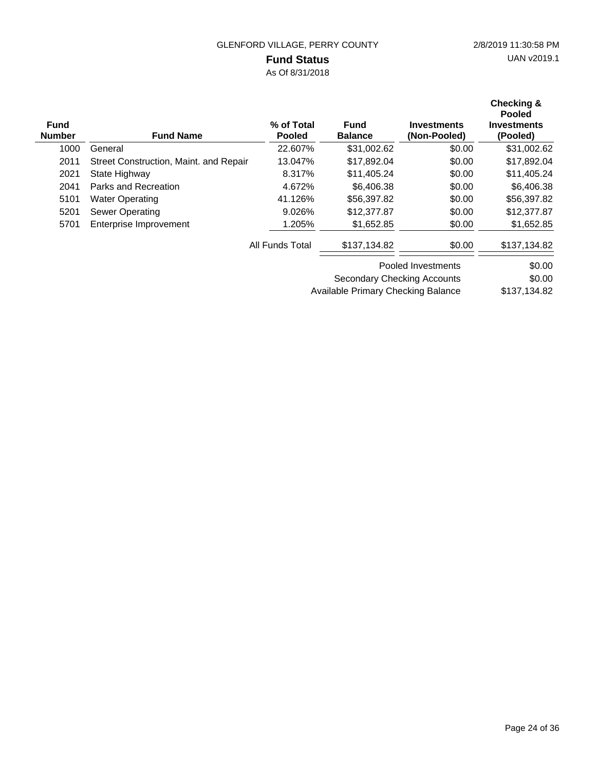# **Fund Status**

As Of 8/31/2018

| <b>Fund</b><br><b>Number</b> | <b>Fund Name</b>                       | % of Total<br><b>Pooled</b> | <b>Fund</b><br><b>Balance</b> | <b>Investments</b><br>(Non-Pooled) | Checking &<br><b>Pooled</b><br>Investments<br>(Pooled) |
|------------------------------|----------------------------------------|-----------------------------|-------------------------------|------------------------------------|--------------------------------------------------------|
| 1000                         | General                                | 22.607%                     | \$31,002.62                   | \$0.00                             | \$31,002.62                                            |
| 2011                         | Street Construction, Maint. and Repair | 13.047%                     | \$17,892.04                   | \$0.00                             | \$17,892.04                                            |
| 2021                         | State Highway                          | 8.317%                      | \$11,405.24                   | \$0.00                             | \$11,405.24                                            |
| 2041                         | Parks and Recreation                   | 4.672%                      | \$6,406.38                    | \$0.00                             | \$6,406.38                                             |
| 5101                         | <b>Water Operating</b>                 | 41.126%                     | \$56,397.82                   | \$0.00                             | \$56,397.82                                            |
| 5201                         | Sewer Operating                        | 9.026%                      | \$12,377.87                   | \$0.00                             | \$12,377.87                                            |
| 5701                         | Enterprise Improvement                 | 1.205%                      | \$1,652.85                    | \$0.00                             | \$1,652.85                                             |
|                              |                                        | All Funds Total             | \$137,134.82                  | \$0.00                             | \$137,134.82                                           |
|                              |                                        |                             | Pooled Investments            |                                    | \$0.00                                                 |
|                              |                                        |                             | Secondary Checking Accounts   |                                    | \$0.00                                                 |

\$137,134.82 Available Primary Checking Balance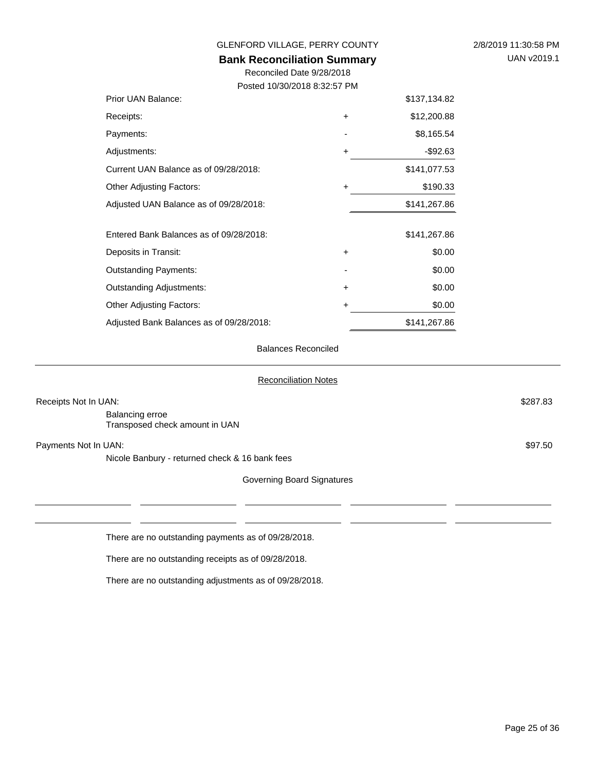| GLENFORD VILLAGE, PERRY COUNTY                                  | 2/8/2019 11:30:58 PM |              |  |
|-----------------------------------------------------------------|----------------------|--------------|--|
| <b>Bank Reconciliation Summary</b><br>Reconciled Date 9/28/2018 | UAN v2019.1          |              |  |
|                                                                 |                      |              |  |
| Posted 10/30/2018 8:32:57 PM                                    |                      |              |  |
| Prior UAN Balance:                                              |                      | \$137,134.82 |  |
| Receipts:                                                       | +                    | \$12,200.88  |  |
| Payments:                                                       |                      | \$8,165.54   |  |
| Adjustments:                                                    | +                    | $-$92.63$    |  |
| Current UAN Balance as of 09/28/2018:                           |                      | \$141,077.53 |  |
| <b>Other Adjusting Factors:</b>                                 | +                    | \$190.33     |  |
| Adjusted UAN Balance as of 09/28/2018:                          |                      | \$141,267.86 |  |
|                                                                 |                      |              |  |
| Entered Bank Balances as of 09/28/2018:                         |                      | \$141,267.86 |  |
| Deposits in Transit:                                            | ٠                    | \$0.00       |  |
| <b>Outstanding Payments:</b>                                    |                      | \$0.00       |  |
| <b>Outstanding Adjustments:</b>                                 | +                    | \$0.00       |  |
| <b>Other Adjusting Factors:</b>                                 | +                    | \$0.00       |  |
| Adjusted Bank Balances as of 09/28/2018:                        |                      | \$141,267.86 |  |

#### Balances Reconciled

#### Reconciliation Notes

| Receipts Not In UAN:                              |                            | \$287.83 |
|---------------------------------------------------|----------------------------|----------|
| Balancing erroe<br>Transposed check amount in UAN |                            |          |
| Payments Not In UAN:                              |                            | \$97.50  |
| Nicole Banbury - returned check & 16 bank fees    |                            |          |
|                                                   | Governing Board Signatures |          |
|                                                   |                            |          |
|                                                   |                            |          |

There are no outstanding payments as of 09/28/2018.

There are no outstanding receipts as of 09/28/2018.

There are no outstanding adjustments as of 09/28/2018.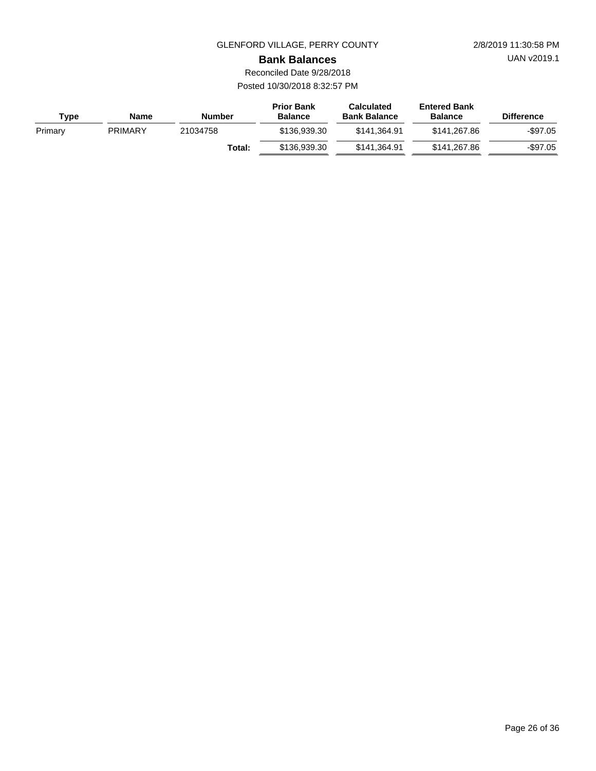UAN v2019.1

**Bank Balances**

Reconciled Date 9/28/2018 Posted 10/30/2018 8:32:57 PM

| Type    | Name           | <b>Number</b> | <b>Prior Bank</b><br><b>Balance</b> | <b>Calculated</b><br><b>Bank Balance</b> | <b>Entered Bank</b><br><b>Balance</b> | <b>Difference</b> |
|---------|----------------|---------------|-------------------------------------|------------------------------------------|---------------------------------------|-------------------|
| Primary | <b>PRIMARY</b> | 21034758      | \$136,939.30                        | \$141.364.91                             | \$141.267.86                          | -\$97.05          |
|         |                | Total:        | \$136,939.30                        | \$141.364.91                             | \$141.267.86                          | -\$97.05          |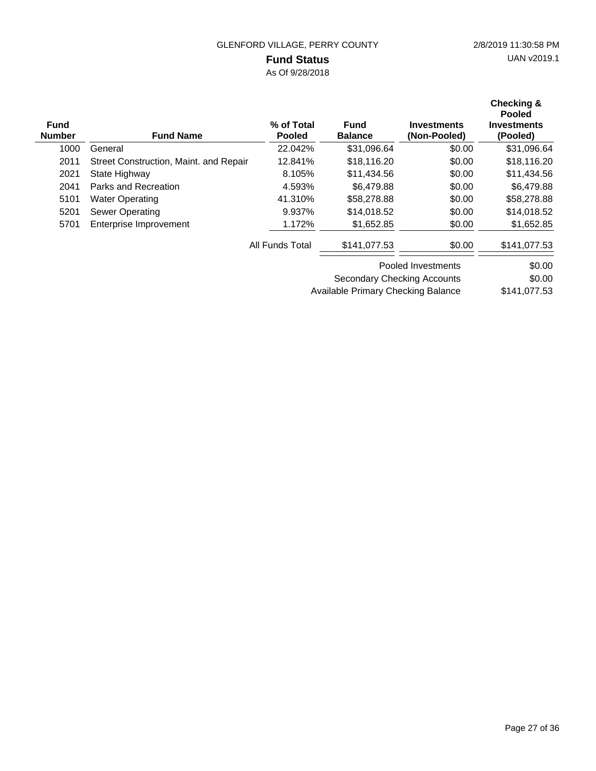# **Fund Status**

As Of 9/28/2018

| <b>Fund</b><br><b>Number</b> | <b>Fund Name</b>                       | % of Total<br><b>Pooled</b> | <b>Fund</b><br><b>Balance</b> | <b>Investments</b><br>(Non-Pooled) | Checking &<br><b>Pooled</b><br><b>Investments</b><br>(Pooled) |
|------------------------------|----------------------------------------|-----------------------------|-------------------------------|------------------------------------|---------------------------------------------------------------|
| 1000                         | General                                | 22.042%                     | \$31,096.64                   | \$0.00                             | \$31,096.64                                                   |
| 2011                         | Street Construction, Maint. and Repair | 12.841%                     | \$18,116.20                   | \$0.00                             | \$18,116.20                                                   |
| 2021                         | State Highway                          | 8.105%                      | \$11,434.56                   | \$0.00                             | \$11,434.56                                                   |
| 2041                         | Parks and Recreation                   | 4.593%                      | \$6,479.88                    | \$0.00                             | \$6,479.88                                                    |
| 5101                         | <b>Water Operating</b>                 | 41.310%                     | \$58,278.88                   | \$0.00                             | \$58,278.88                                                   |
| 5201                         | <b>Sewer Operating</b>                 | 9.937%                      | \$14,018.52                   | \$0.00                             | \$14,018.52                                                   |
| 5701                         | Enterprise Improvement                 | 1.172%                      | \$1,652.85                    | \$0.00                             | \$1,652.85                                                    |
|                              |                                        | All Funds Total             | \$141,077.53                  | \$0.00                             | \$141,077.53                                                  |
|                              |                                        |                             | Pooled Investments            |                                    | \$0.00                                                        |
|                              |                                        |                             | Secondary Checking Accounts   |                                    | \$0.00                                                        |

\$141,077.53 Available Primary Checking Balance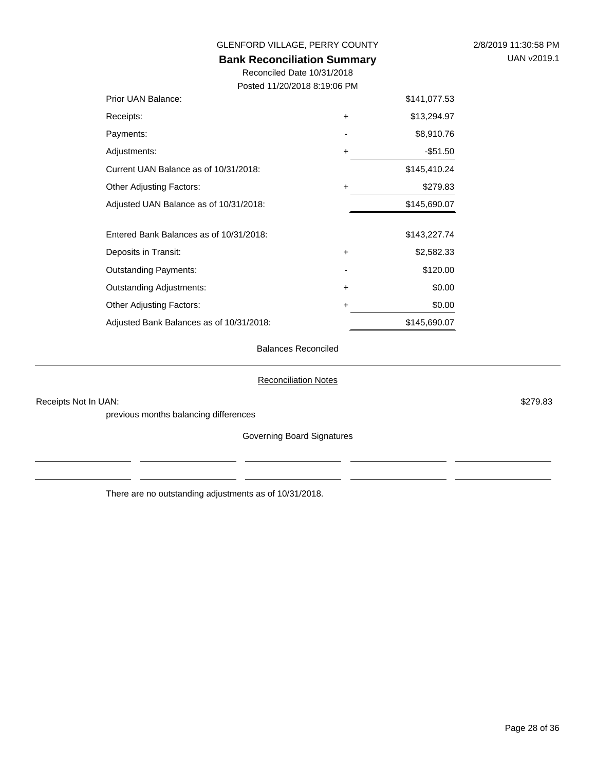Page 28 of 36

# UAN v2019.1

GLENFORD VILLAGE, PERRY COUNTY 2/8/2019 11:30:58 PM

#### **Bank Reconciliation Summary**

Reconciled Date 10/31/2018 Posted 11/20/2018 8:19:06 PM

| Prior UAN Balance:                      |           | \$141,077.53 |
|-----------------------------------------|-----------|--------------|
| Receipts:                               | $\ddot{}$ | \$13,294.97  |
| Payments:                               |           | \$8,910.76   |
| Adjustments:                            | +         | $-$ \$51.50  |
| Current UAN Balance as of 10/31/2018:   |           | \$145,410.24 |
| <b>Other Adjusting Factors:</b>         | +         | \$279.83     |
| Adjusted UAN Balance as of 10/31/2018:  |           | \$145,690.07 |
|                                         |           |              |
| Entered Bank Balances as of 10/31/2018: |           | \$143,227.74 |
| Deposits in Transit:                    | $\ddot{}$ | \$2,582.33   |
| <b>Outstanding Payments:</b>            |           | \$120.00     |
| <b>Outstanding Adjustments:</b>         | $\ddot{}$ | \$0.00       |
| <b>Other Adjusting Factors:</b>         | +         | \$0.00       |
|                                         |           |              |

#### Balances Reconciled

#### Reconciliation Notes

Receipts Not In UAN: \$279.83

previous months balancing differences

Governing Board Signatures

There are no outstanding adjustments as of 10/31/2018.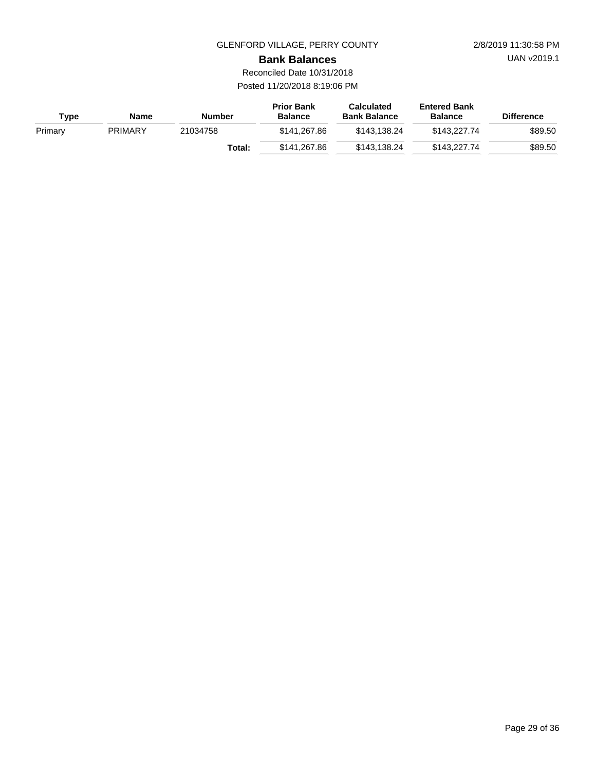UAN v2019.1

**Bank Balances**

Reconciled Date 10/31/2018 Posted 11/20/2018 8:19:06 PM

| <b>Type</b> | <b>Name</b>    | <b>Number</b> | <b>Prior Bank</b><br><b>Balance</b> | <b>Calculated</b><br><b>Bank Balance</b> | <b>Entered Bank</b><br><b>Balance</b> | <b>Difference</b> |
|-------------|----------------|---------------|-------------------------------------|------------------------------------------|---------------------------------------|-------------------|
| Primary     | <b>PRIMARY</b> | 21034758      | \$141.267.86                        | \$143.138.24                             | \$143,227,74                          | \$89.50           |
|             |                | Total:        | \$141.267.86                        | \$143.138.24                             | \$143,227,74                          | \$89.50           |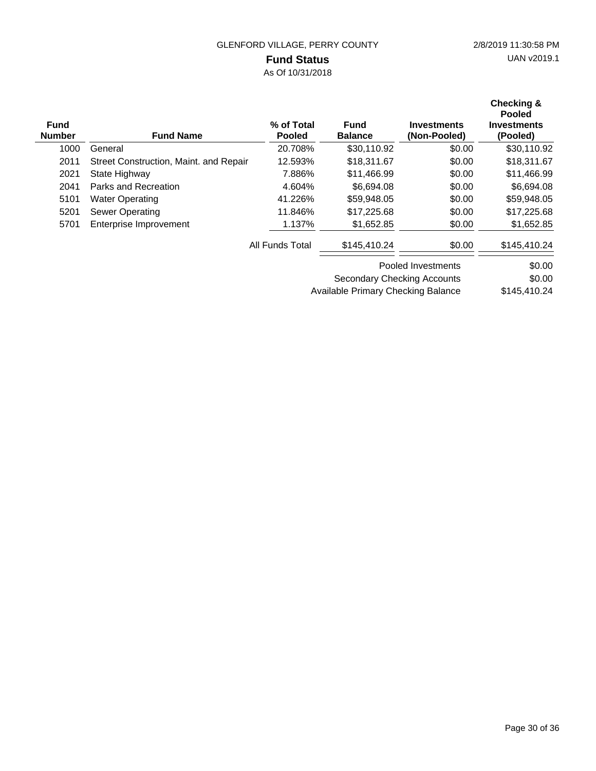### **Fund Status**

As Of 10/31/2018

| <b>Fund</b><br><b>Number</b> | <b>Fund Name</b>                       | % of Total<br><b>Pooled</b> | <b>Fund</b><br><b>Balance</b>      | <b>Investments</b><br>(Non-Pooled) | <b>Checking &amp;</b><br><b>Pooled</b><br><b>Investments</b><br>(Pooled) |
|------------------------------|----------------------------------------|-----------------------------|------------------------------------|------------------------------------|--------------------------------------------------------------------------|
| 1000                         | General                                | 20.708%                     | \$30,110.92                        | \$0.00                             | \$30,110.92                                                              |
| 2011                         | Street Construction, Maint. and Repair | 12.593%                     | \$18,311.67                        | \$0.00                             | \$18,311.67                                                              |
| 2021                         | State Highway                          | 7.886%                      | \$11,466.99                        | \$0.00                             | \$11,466.99                                                              |
| 2041                         | Parks and Recreation                   | 4.604%                      | \$6,694.08                         | \$0.00                             | \$6,694.08                                                               |
| 5101                         | <b>Water Operating</b>                 | 41.226%                     | \$59,948.05                        | \$0.00                             | \$59,948.05                                                              |
| 5201                         | <b>Sewer Operating</b>                 | 11.846%                     | \$17,225.68                        | \$0.00                             | \$17,225.68                                                              |
| 5701                         | Enterprise Improvement                 | 1.137%                      | \$1,652.85                         | \$0.00                             | \$1,652.85                                                               |
|                              |                                        | All Funds Total             | \$145,410.24                       | \$0.00                             | \$145,410.24                                                             |
|                              |                                        |                             |                                    | Pooled Investments                 | \$0.00                                                                   |
|                              |                                        |                             | Secondary Checking Accounts        |                                    | \$0.00                                                                   |
|                              |                                        |                             | Available Primary Checking Balance |                                    | \$145,410.24                                                             |

Page 30 of 36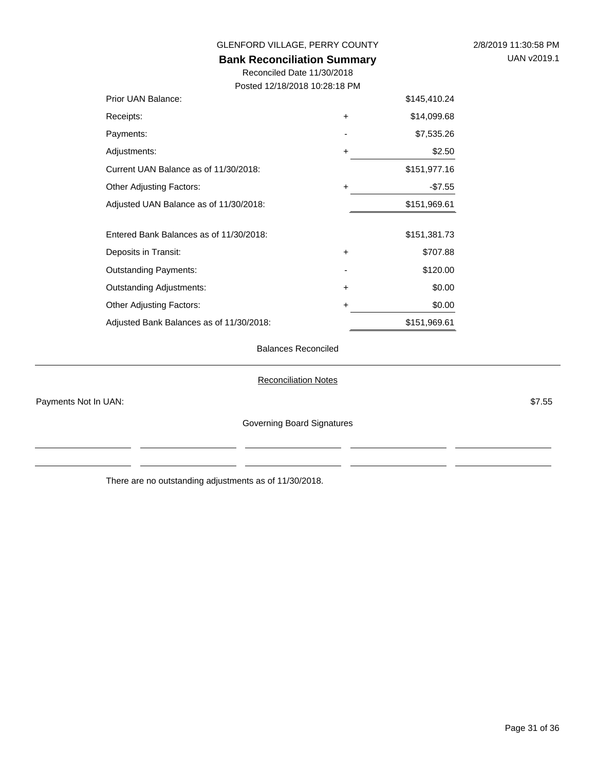| <b>Bank Reconciliation Summary</b><br>Reconciled Date 11/30/2018 |           |              |  |  |
|------------------------------------------------------------------|-----------|--------------|--|--|
| Posted 12/18/2018 10:28:18 PM                                    |           |              |  |  |
| Prior UAN Balance:                                               |           | \$145,410.24 |  |  |
| Receipts:                                                        | +         | \$14,099.68  |  |  |
| Payments:                                                        |           | \$7,535.26   |  |  |
| Adjustments:                                                     | +         | \$2.50       |  |  |
| \$151,977.16<br>Current UAN Balance as of 11/30/2018:            |           |              |  |  |
| <b>Other Adjusting Factors:</b>                                  | $\ddot{}$ | $-$7.55$     |  |  |
| Adjusted UAN Balance as of 11/30/2018:                           |           | \$151,969.61 |  |  |
| Entered Bank Balances as of 11/30/2018:                          |           | \$151,381.73 |  |  |
| Deposits in Transit:                                             | $\ddot{}$ | \$707.88     |  |  |
| <b>Outstanding Payments:</b>                                     |           | \$120.00     |  |  |
| <b>Outstanding Adjustments:</b>                                  | $\ddot{}$ | \$0.00       |  |  |
| \$0.00<br><b>Other Adjusting Factors:</b><br>+                   |           |              |  |  |
| \$151,969.61<br>Adjusted Bank Balances as of 11/30/2018:         |           |              |  |  |

#### Balances Reconciled

Reconciliation Notes

Payments Not In UAN: \$7.55

 $\overline{a}$ 

Governing Board Signatures

 $\overline{a}$ 

 $\overline{a}$  and  $\overline{a}$ 

There are no outstanding adjustments as of 11/30/2018.

 $\overline{a}$ 

 $\overline{\phantom{a}}$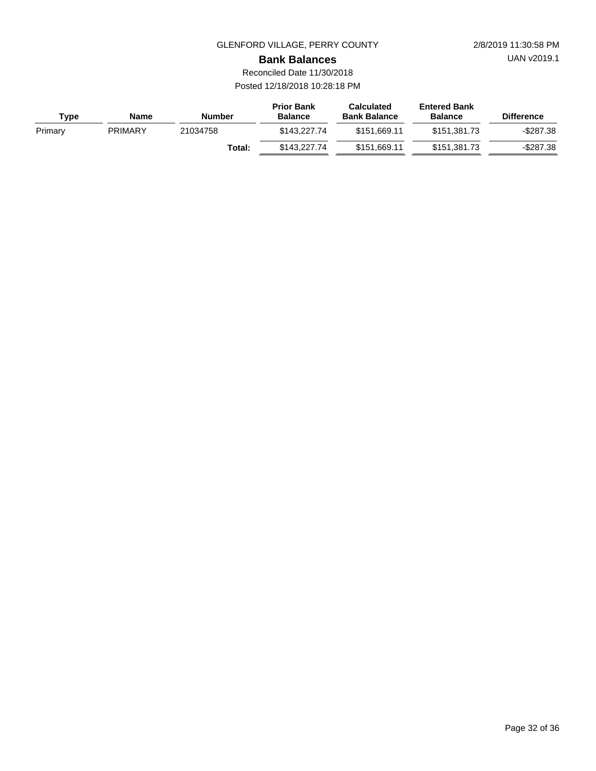UAN v2019.1

**Bank Balances**

Reconciled Date 11/30/2018 Posted 12/18/2018 10:28:18 PM

| Type    | <b>Name</b>    | <b>Number</b> | <b>Prior Bank</b><br><b>Balance</b> | <b>Calculated</b><br><b>Bank Balance</b> | <b>Entered Bank</b><br><b>Balance</b> | <b>Difference</b> |
|---------|----------------|---------------|-------------------------------------|------------------------------------------|---------------------------------------|-------------------|
| Primary | <b>PRIMARY</b> | 21034758      | \$143,227,74                        | \$151.669.11                             | \$151.381.73                          | -\$287.38         |
|         |                | Total:        | \$143,227,74                        | \$151.669.11                             | \$151.381.73                          | $-$ \$287.38      |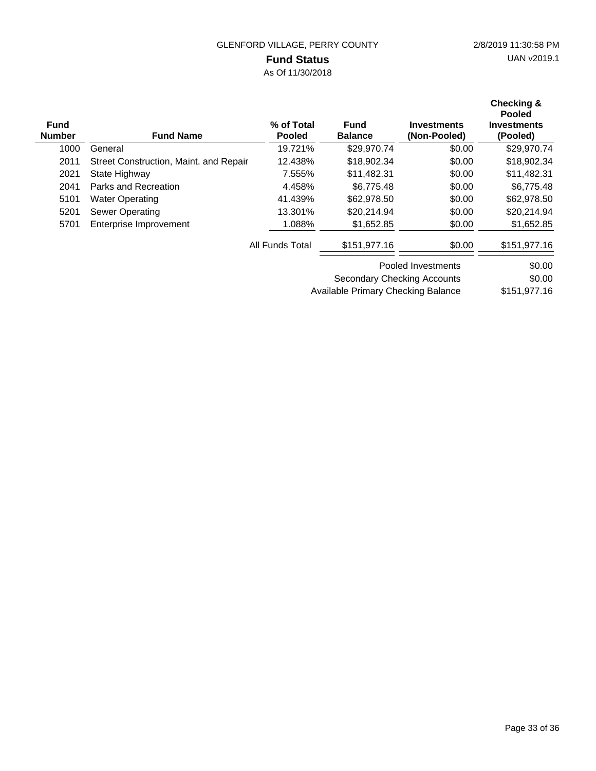### **Fund Status**

As Of 11/30/2018

| <b>Fund</b><br><b>Number</b> | <b>Fund Name</b>                       | % of Total<br><b>Pooled</b> | <b>Fund</b><br><b>Balance</b> | <b>Investments</b><br>(Non-Pooled) | <b>Checking &amp;</b><br><b>Pooled</b><br><b>Investments</b><br>(Pooled) |
|------------------------------|----------------------------------------|-----------------------------|-------------------------------|------------------------------------|--------------------------------------------------------------------------|
| 1000                         | General                                | 19.721%                     | \$29,970.74                   | \$0.00                             | \$29,970.74                                                              |
| 2011                         | Street Construction, Maint. and Repair | 12.438%                     | \$18,902.34                   | \$0.00                             | \$18,902.34                                                              |
| 2021                         | State Highway                          | 7.555%                      | \$11,482.31                   | \$0.00                             | \$11,482.31                                                              |
| 2041                         | Parks and Recreation                   | 4.458%                      | \$6,775.48                    | \$0.00                             | \$6,775.48                                                               |
| 5101                         | <b>Water Operating</b>                 | 41.439%                     | \$62,978.50                   | \$0.00                             | \$62,978.50                                                              |
| 5201                         | <b>Sewer Operating</b>                 | 13.301%                     | \$20,214.94                   | \$0.00                             | \$20,214.94                                                              |
| 5701                         | Enterprise Improvement                 | 1.088%                      | \$1,652.85                    | \$0.00                             | \$1,652.85                                                               |
|                              |                                        | All Funds Total             | \$151,977.16                  | \$0.00                             | \$151,977.16                                                             |
|                              |                                        |                             |                               | Pooled Investments                 | \$0.00                                                                   |
|                              |                                        |                             | Secondary Checking Accounts   |                                    | \$0.00                                                                   |

\$151,977.16 Available Primary Checking Balance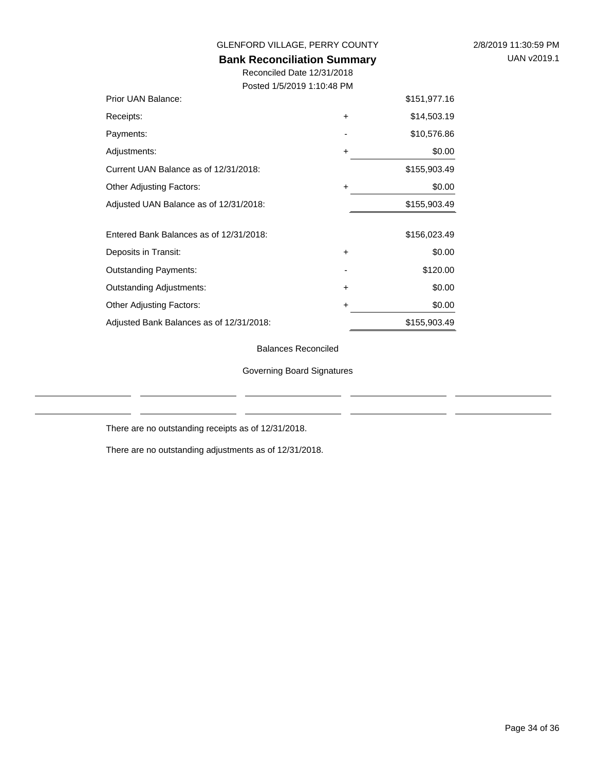| 2/8/2019 11:30:59 PM |                    |  |
|----------------------|--------------------|--|
|                      | <b>UAN v2019.1</b> |  |

GLENFORD VILLAGE, PERRY COUNTY

### **Bank Reconciliation Summary**

Reconciled Date 12/31/2018 Posted 1/5/2019 1:10:48 PM

| Prior UAN Balance:                       |           | \$151,977.16 |
|------------------------------------------|-----------|--------------|
| Receipts:                                | $\ddot{}$ | \$14,503.19  |
| Payments:                                |           | \$10,576.86  |
| Adjustments:                             | ٠         | \$0.00       |
| Current UAN Balance as of 12/31/2018:    |           | \$155,903.49 |
| <b>Other Adjusting Factors:</b>          | $\ddot{}$ | \$0.00       |
| Adjusted UAN Balance as of 12/31/2018:   |           | \$155,903.49 |
|                                          |           |              |
| Entered Bank Balances as of 12/31/2018:  |           | \$156,023.49 |
| Deposits in Transit:                     | $\ddot{}$ | \$0.00       |
| <b>Outstanding Payments:</b>             |           | \$120.00     |
| <b>Outstanding Adjustments:</b>          | $\ddot{}$ | \$0.00       |
| <b>Other Adjusting Factors:</b>          | ٠         | \$0.00       |
| Adjusted Bank Balances as of 12/31/2018: |           | \$155,903.49 |

Balances Reconciled

Governing Board Signatures

There are no outstanding receipts as of 12/31/2018.

There are no outstanding adjustments as of 12/31/2018.

 $\overline{a}$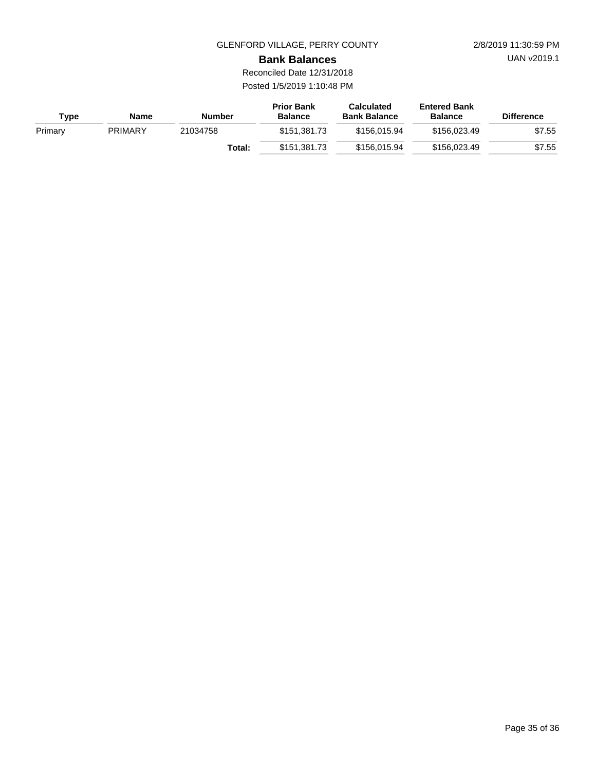UAN v2019.1

**Bank Balances**

Reconciled Date 12/31/2018 Posted 1/5/2019 1:10:48 PM

| Type    | Name           | <b>Number</b> | <b>Prior Bank</b><br><b>Balance</b> | <b>Calculated</b><br><b>Bank Balance</b> | <b>Entered Bank</b><br><b>Balance</b> | <b>Difference</b> |
|---------|----------------|---------------|-------------------------------------|------------------------------------------|---------------------------------------|-------------------|
| Primary | <b>PRIMARY</b> | 21034758      | \$151.381.73                        | \$156.015.94                             | \$156.023.49                          | \$7.55            |
|         |                | Total:        | \$151.381.73                        | \$156,015,94                             | \$156.023.49                          | \$7.55            |